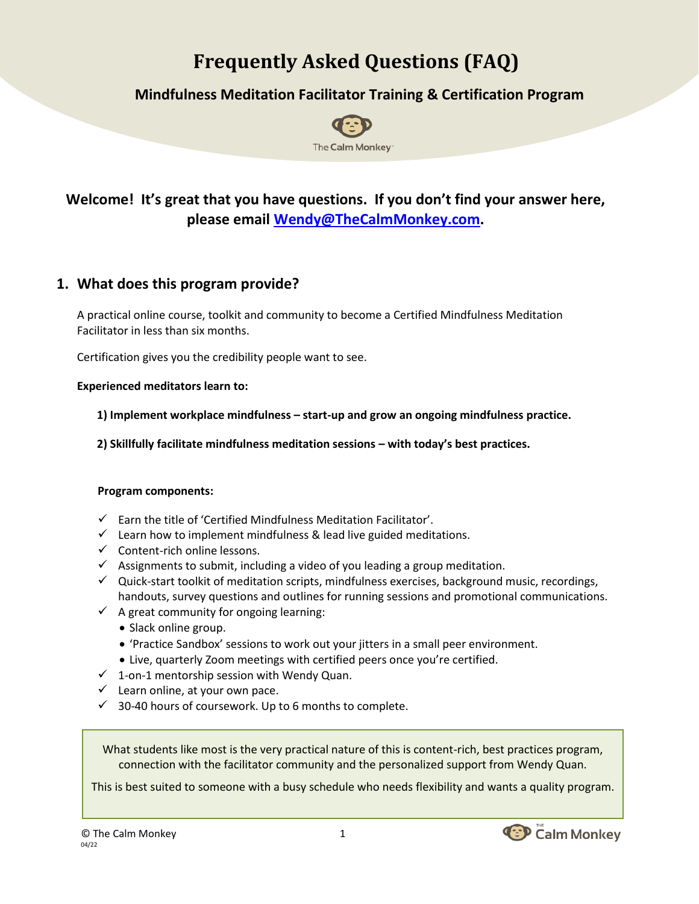# **Frequently Asked Questions (FAQ)**

## **Mindfulness Meditation Facilitator Training & Certification Program**



# **Welcome! It's great that you have questions. If you don't find your answer here, please email [Wendy@TheCalmMonkey.com.](mailto:Wendy@TheCalmMonkey.com)**

### **1. What does this program provide?**

A practical online course, toolkit and community to become a Certified Mindfulness Meditation Facilitator in less than six months.

Certification gives you the credibility people want to see.

#### **Experienced meditators learn to:**

**1) Implement workplace mindfulness – start-up and grow an ongoing mindfulness practice.**

**2) Skillfully facilitate mindfulness meditation sessions – with today's best practices.**

#### **Program components:**

- $\checkmark$  Earn the title of 'Certified Mindfulness Meditation Facilitator'.
- $\checkmark$  Learn how to implement mindfulness & lead live guided meditations.
- $\checkmark$  Content-rich online lessons.
- $\checkmark$  Assignments to submit, including a video of you leading a group meditation.
- ✓ Quick-start toolkit of meditation scripts, mindfulness exercises, background music, recordings, handouts, survey questions and outlines for running sessions and promotional communications.
- $\checkmark$  A great community for ongoing learning:
	- Slack online group.
	- 'Practice Sandbox' sessions to work out your jitters in a small peer environment.
	- Live, quarterly Zoom meetings with certified peers once you're certified.
- $\checkmark$  1-on-1 mentorship session with Wendy Quan.
- $\checkmark$  Learn online, at your own pace.
- $\checkmark$  30-40 hours of coursework. Up to 6 months to complete.

What students like most is the very practical nature of this is content-rich, best practices program, connection with the facilitator community and the personalized support from Wendy Quan.

This is best suited to someone with a busy schedule who needs flexibility and wants a quality program.

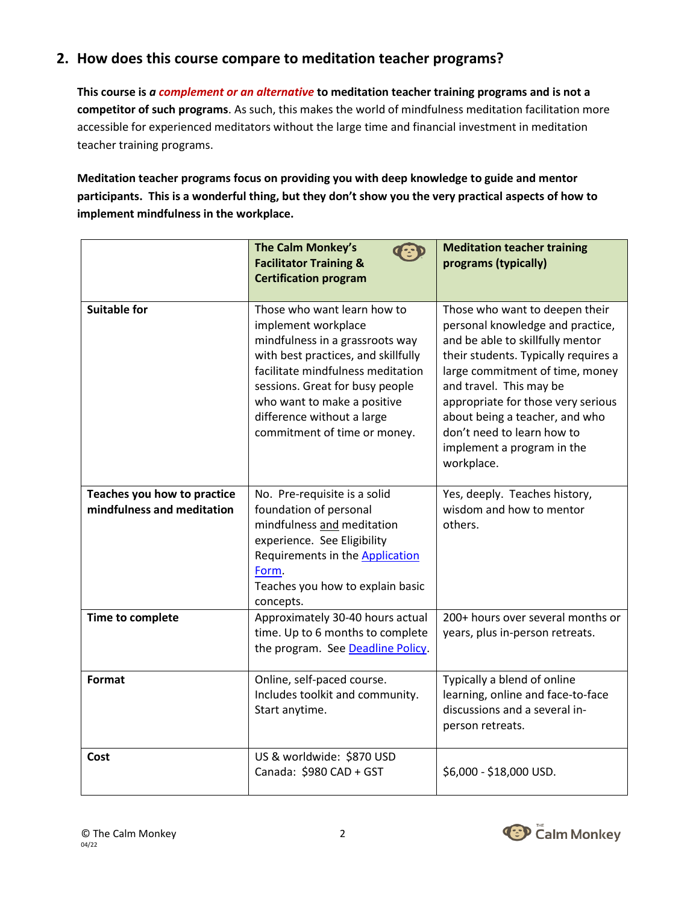# **2. How does this course compare to meditation teacher programs?**

**This course is** *a complement or an alternative* **to meditation teacher training programs and is not a competitor of such programs**. As such, this makes the world of mindfulness meditation facilitation more accessible for experienced meditators without the large time and financial investment in meditation teacher training programs.

**Meditation teacher programs focus on providing you with deep knowledge to guide and mentor participants. This is a wonderful thing, but they don't show you the very practical aspects of how to implement mindfulness in the workplace.**

|                                                           | <b>The Calm Monkey's</b><br><b>Facilitator Training &amp;</b><br><b>Certification program</b>                                                                                                                                                                                                     | <b>Meditation teacher training</b><br>programs (typically)                                                                                                                                                                                                                                                                                                     |
|-----------------------------------------------------------|---------------------------------------------------------------------------------------------------------------------------------------------------------------------------------------------------------------------------------------------------------------------------------------------------|----------------------------------------------------------------------------------------------------------------------------------------------------------------------------------------------------------------------------------------------------------------------------------------------------------------------------------------------------------------|
| <b>Suitable for</b>                                       | Those who want learn how to<br>implement workplace<br>mindfulness in a grassroots way<br>with best practices, and skillfully<br>facilitate mindfulness meditation<br>sessions. Great for busy people<br>who want to make a positive<br>difference without a large<br>commitment of time or money. | Those who want to deepen their<br>personal knowledge and practice,<br>and be able to skillfully mentor<br>their students. Typically requires a<br>large commitment of time, money<br>and travel. This may be<br>appropriate for those very serious<br>about being a teacher, and who<br>don't need to learn how to<br>implement a program in the<br>workplace. |
| Teaches you how to practice<br>mindfulness and meditation | No. Pre-requisite is a solid<br>foundation of personal<br>mindfulness and meditation<br>experience. See Eligibility<br>Requirements in the <b>Application</b><br>Form.<br>Teaches you how to explain basic<br>concepts.                                                                           | Yes, deeply. Teaches history,<br>wisdom and how to mentor<br>others.                                                                                                                                                                                                                                                                                           |
| Time to complete                                          | Approximately 30-40 hours actual<br>time. Up to 6 months to complete<br>the program. See Deadline Policy.                                                                                                                                                                                         | 200+ hours over several months or<br>years, plus in-person retreats.                                                                                                                                                                                                                                                                                           |
| <b>Format</b>                                             | Online, self-paced course.<br>Includes toolkit and community.<br>Start anytime.                                                                                                                                                                                                                   | Typically a blend of online<br>learning, online and face-to-face<br>discussions and a several in-<br>person retreats.                                                                                                                                                                                                                                          |
| Cost                                                      | US & worldwide: \$870 USD<br>Canada: \$980 CAD + GST                                                                                                                                                                                                                                              | \$6,000 - \$18,000 USD.                                                                                                                                                                                                                                                                                                                                        |

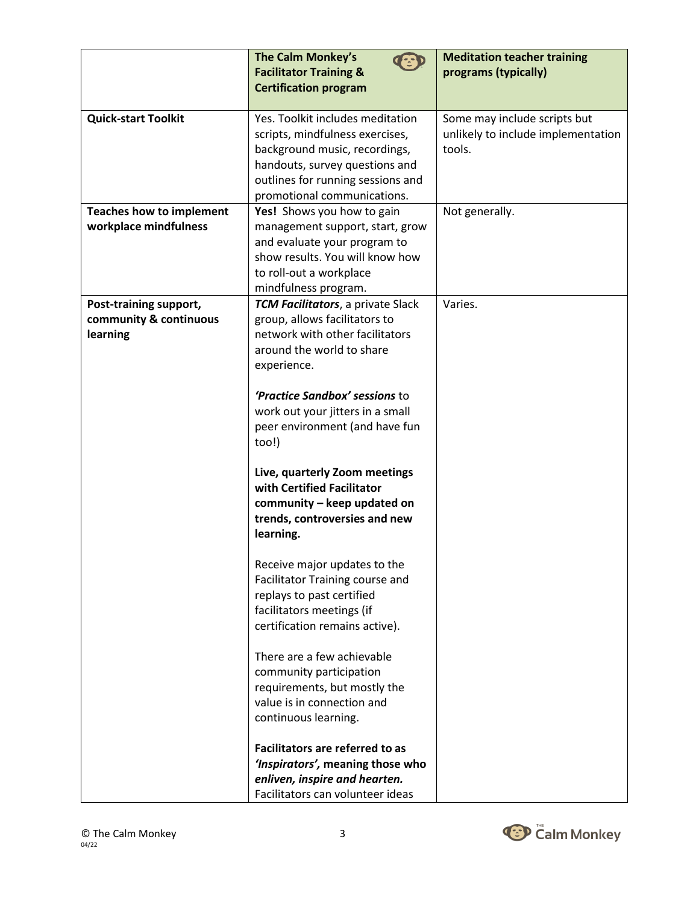|                                 | <b>The Calm Monkey's</b>                                   | <b>Meditation teacher training</b> |
|---------------------------------|------------------------------------------------------------|------------------------------------|
|                                 | <b>Facilitator Training &amp;</b>                          | programs (typically)               |
|                                 | <b>Certification program</b>                               |                                    |
|                                 |                                                            |                                    |
| <b>Quick-start Toolkit</b>      | Yes. Toolkit includes meditation                           | Some may include scripts but       |
|                                 | scripts, mindfulness exercises,                            | unlikely to include implementation |
|                                 | background music, recordings,                              | tools.                             |
|                                 | handouts, survey questions and                             |                                    |
|                                 | outlines for running sessions and                          |                                    |
|                                 | promotional communications.                                |                                    |
| <b>Teaches how to implement</b> | Yes! Shows you how to gain                                 | Not generally.                     |
| workplace mindfulness           | management support, start, grow                            |                                    |
|                                 | and evaluate your program to                               |                                    |
|                                 | show results. You will know how                            |                                    |
|                                 | to roll-out a workplace                                    |                                    |
| Post-training support,          | mindfulness program.<br>TCM Facilitators, a private Slack  | Varies.                            |
| community & continuous          | group, allows facilitators to                              |                                    |
| learning                        | network with other facilitators                            |                                    |
|                                 | around the world to share                                  |                                    |
|                                 | experience.                                                |                                    |
|                                 |                                                            |                                    |
|                                 | 'Practice Sandbox' sessions to                             |                                    |
|                                 | work out your jitters in a small                           |                                    |
|                                 | peer environment (and have fun                             |                                    |
|                                 | too!)                                                      |                                    |
|                                 |                                                            |                                    |
|                                 | Live, quarterly Zoom meetings                              |                                    |
|                                 | with Certified Facilitator                                 |                                    |
|                                 | community - keep updated on                                |                                    |
|                                 | trends, controversies and new                              |                                    |
|                                 | learning.                                                  |                                    |
|                                 |                                                            |                                    |
|                                 | Receive major updates to the                               |                                    |
|                                 | Facilitator Training course and                            |                                    |
|                                 | replays to past certified                                  |                                    |
|                                 | facilitators meetings (if                                  |                                    |
|                                 | certification remains active).                             |                                    |
|                                 |                                                            |                                    |
|                                 | There are a few achievable                                 |                                    |
|                                 | community participation                                    |                                    |
|                                 | requirements, but mostly the<br>value is in connection and |                                    |
|                                 |                                                            |                                    |
|                                 | continuous learning.                                       |                                    |
|                                 | Facilitators are referred to as                            |                                    |
|                                 | 'Inspirators', meaning those who                           |                                    |
|                                 | enliven, inspire and hearten.                              |                                    |
|                                 | Facilitators can volunteer ideas                           |                                    |

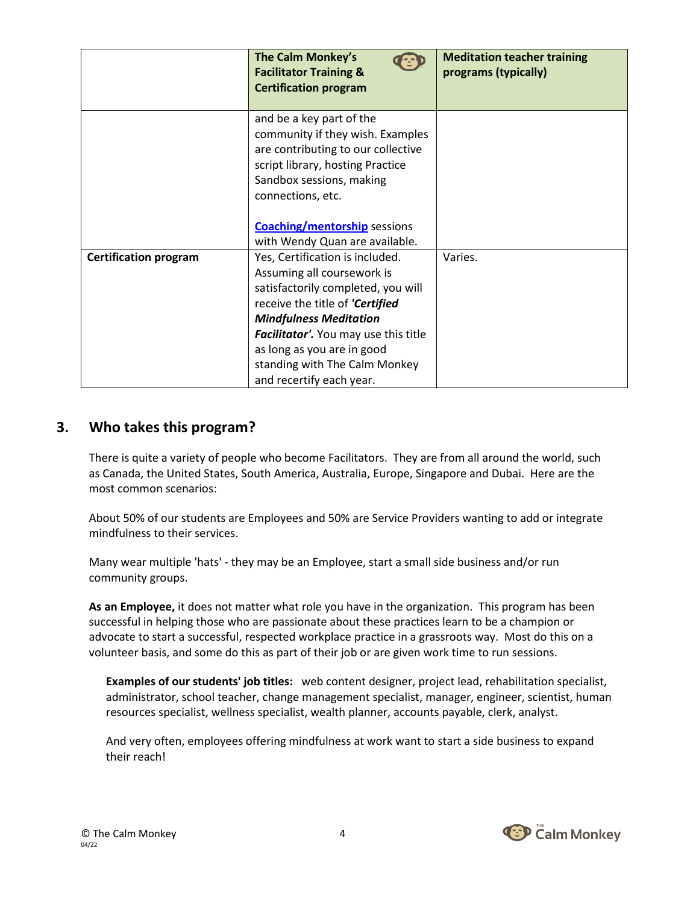|                              | The Calm Monkey's<br><b>Facilitator Training &amp;</b><br><b>Certification program</b>                                                                                                                                                        | <b>Meditation teacher training</b><br>programs (typically) |
|------------------------------|-----------------------------------------------------------------------------------------------------------------------------------------------------------------------------------------------------------------------------------------------|------------------------------------------------------------|
|                              | and be a key part of the<br>community if they wish. Examples<br>are contributing to our collective<br>script library, hosting Practice<br>Sandbox sessions, making<br>connections, etc.                                                       |                                                            |
|                              | <b>Coaching/mentorship</b> sessions                                                                                                                                                                                                           |                                                            |
|                              | with Wendy Quan are available.                                                                                                                                                                                                                |                                                            |
| <b>Certification program</b> | Yes, Certification is included.<br>Assuming all coursework is<br>satisfactorily completed, you will<br>receive the title of 'Certified<br><b>Mindfulness Meditation</b><br>Facilitator'. You may use this title<br>as long as you are in good | Varies.                                                    |
|                              | standing with The Calm Monkey<br>and recertify each year.                                                                                                                                                                                     |                                                            |

#### **3. Who takes this program?**

There is quite a variety of people who become Facilitators. They are from all around the world, such as Canada, the United States, South America, Australia, Europe, Singapore and Dubai. Here are the most common scenarios:

About 50% of our students are Employees and 50% are Service Providers wanting to add or integrate mindfulness to their services.

Many wear multiple 'hats' - they may be an Employee, start a small side business and/or run community groups.

**As an Employee,** it does not matter what role you have in the organization. This program has been successful in helping those who are passionate about these practices learn to be a champion or advocate to start a successful, respected workplace practice in a grassroots way. Most do this on a volunteer basis, and some do this as part of their job or are given work time to run sessions.

**Examples of our students' job titles:** web content designer, project lead, rehabilitation specialist, administrator, school teacher, change management specialist, manager, engineer, scientist, human resources specialist, wellness specialist, wealth planner, accounts payable, clerk, analyst.

And very often, employees offering mindfulness at work want to start a side business to expand their reach!

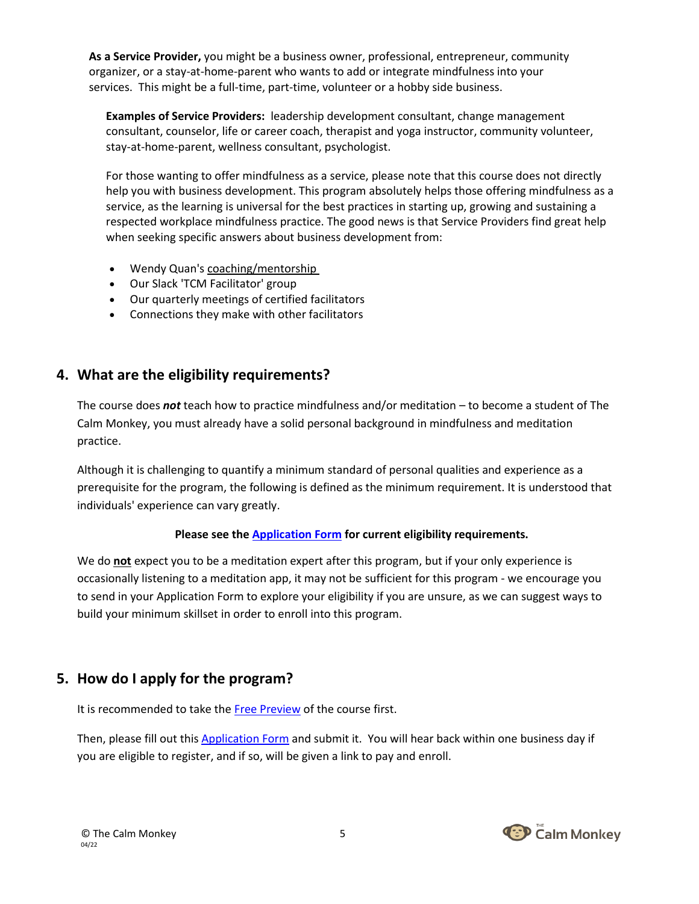**As a Service Provider,** you might be a business owner, professional, entrepreneur, community organizer, or a stay-at-home-parent who wants to add or integrate mindfulness into your services. This might be a full-time, part-time, volunteer or a hobby side business.

**Examples of Service Providers:** leadership development consultant, change management consultant, counselor, life or career coach, therapist and yoga instructor, community volunteer, stay-at-home-parent, wellness consultant, psychologist.

For those wanting to offer mindfulness as a service, please note that this course does not directly help you with business development. This program absolutely helps those offering mindfulness as a service, as the learning is universal for the best practices in starting up, growing and sustaining a respected workplace mindfulness practice. The good news is that Service Providers find great help when seeking specific answers about business development from:

- Wendy Quan's [coaching/mentorship](https://www.thecalmmonkey.com/mindfulness-implementation-coaching)
- Our Slack 'TCM Facilitator' group
- Our quarterly meetings of certified facilitators
- Connections they make with other facilitators

#### **4. What are the eligibility requirements?**

The course does *not* teach how to practice mindfulness and/or meditation – to become a student of The Calm Monkey, you must already have a solid personal background in mindfulness and meditation practice.

Although it is challenging to quantify a minimum standard of personal qualities and experience as a prerequisite for the program, the following is defined as the minimum requirement. It is understood that individuals' experience can vary greatly.

#### **Please see the [Application Form](https://drive.google.com/file/d/1Z5JuRamGvvc3qKZndX3E4LI3pjBJCHCD/view) for current eligibility requirements.**

We do **not** expect you to be a meditation expert after this program, but if your only experience is occasionally listening to a meditation app, it may not be sufficient for this program - we encourage you to send in your Application Form to explore your eligibility if you are unsure, as we can suggest ways to build your minimum skillset in order to enroll into this program.

#### **5. How do I apply for the program?**

It is recommended to take the [Free Preview](https://courses.thecalmmonkey.com/courses/facilitator-training) of the course first.

Then, please fill out thi[s Application Form](https://drive.google.com/file/d/1Z5JuRamGvvc3qKZndX3E4LI3pjBJCHCD/view) and submit it. You will hear back within one business day if you are eligible to register, and if so, will be given a link to pay and enroll.

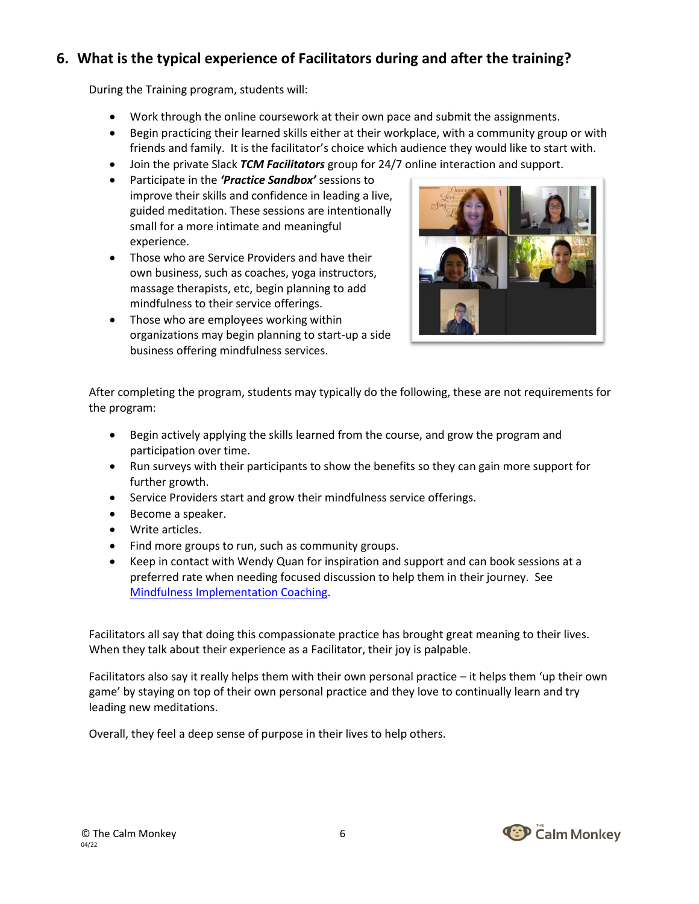# **6. What is the typical experience of Facilitators during and after the training?**

During the Training program, students will:

- Work through the online coursework at their own pace and submit the assignments.
- Begin practicing their learned skills either at their workplace, with a community group or with friends and family. It is the facilitator's choice which audience they would like to start with.
- Join the private Slack *TCM Facilitators* group for 24/7 online interaction and support.
- Participate in the *'Practice Sandbox'* sessions to improve their skills and confidence in leading a live, guided meditation. These sessions are intentionally small for a more intimate and meaningful experience.
- Those who are Service Providers and have their own business, such as coaches, yoga instructors, massage therapists, etc, begin planning to add mindfulness to their service offerings.
- Those who are employees working within organizations may begin planning to start-up a side business offering mindfulness services.



After completing the program, students may typically do the following, these are not requirements for the program:

- Begin actively applying the skills learned from the course, and grow the program and participation over time.
- Run surveys with their participants to show the benefits so they can gain more support for further growth.
- Service Providers start and grow their mindfulness service offerings.
- Become a speaker.
- Write articles.
- Find more groups to run, such as community groups.
- Keep in contact with Wendy Quan for inspiration and support and can book sessions at a preferred rate when needing focused discussion to help them in their journey. See [Mindfulness Implementation Coaching.](https://www.thecalmmonkey.com/mindfulness-implementation-coaching)

Facilitators all say that doing this compassionate practice has brought great meaning to their lives. When they talk about their experience as a Facilitator, their joy is palpable.

Facilitators also say it really helps them with their own personal practice – it helps them 'up their own game' by staying on top of their own personal practice and they love to continually learn and try leading new meditations.

Overall, they feel a deep sense of purpose in their lives to help others.

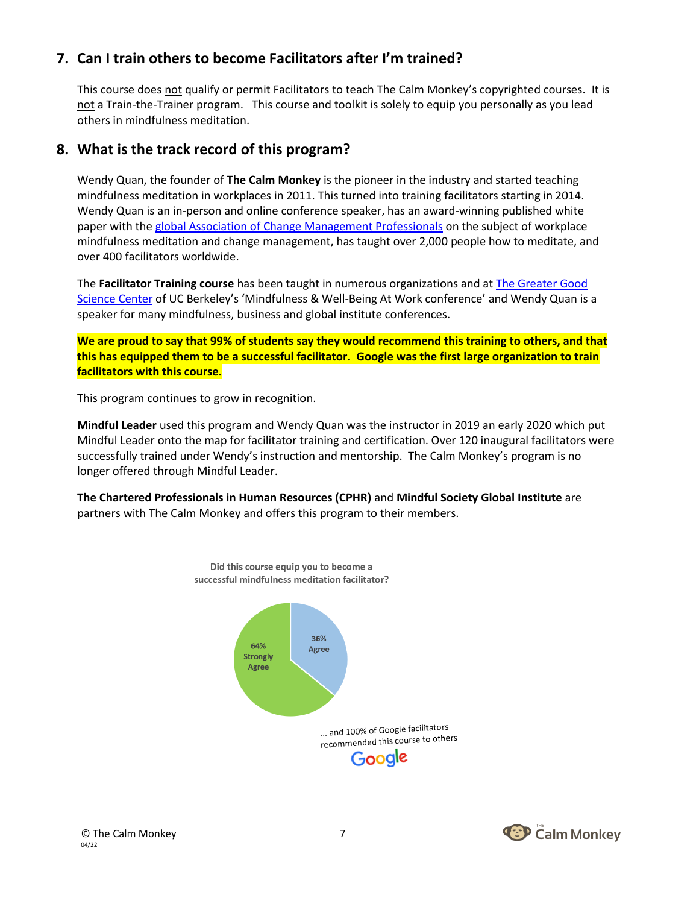### **7. Can I train others to become Facilitators after I'm trained?**

This course does not qualify or permit Facilitators to teach The Calm Monkey's copyrighted courses. It is not a Train-the-Trainer program. This course and toolkit is solely to equip you personally as you lead others in mindfulness meditation.

#### **8. What is the track record of this program?**

Wendy Quan, the founder of **The Calm Monkey** is the pioneer in the industry and started teaching mindfulness meditation in workplaces in 2011. This turned into training facilitators starting in 2014. Wendy Quan is an in-person and online conference speaker, has an award-winning published white paper with the [global Association of Change Management Professionals](http://www.acmpglobal.org/) on the subject of workplace mindfulness meditation and change management, has taught over 2,000 people how to meditate, and over 400 facilitators worldwide.

The **Facilitator Training course** has been taught in numerous organizations and a[t The Greater Good](http://greatergood.berkeley.edu/)  [Science Center](http://greatergood.berkeley.edu/) of UC Berkeley's 'Mindfulness & Well-Being At Work conference' and Wendy Quan is a speaker for many mindfulness, business and global institute conferences.

**We are proud to say that 99% of students say they would recommend this training to others, and that this has equipped them to be a successful facilitator. Google was the first large organization to train facilitators with this course.**

This program continues to grow in recognition.

**Mindful Leader** used this program and Wendy Quan was the instructor in 2019 an early 2020 which put Mindful Leader onto the map for facilitator training and certification. Over 120 inaugural facilitators were successfully trained under Wendy's instruction and mentorship. The Calm Monkey's program is no longer offered through Mindful Leader.

**The Chartered Professionals in Human Resources (CPHR)** and **Mindful Society Global Institute** are partners with The Calm Monkey and offers this program to their members.



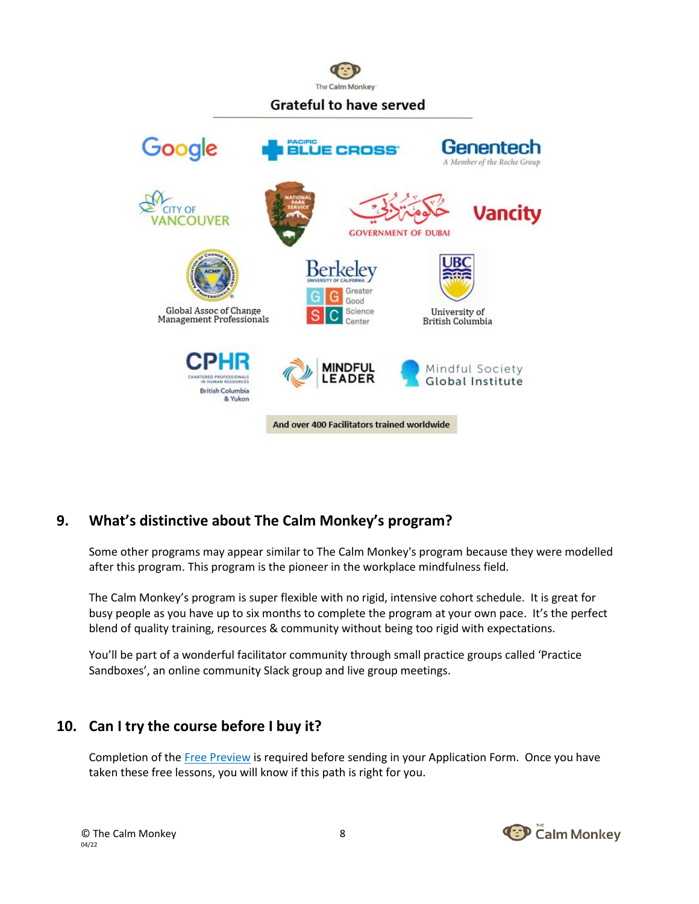

## **Grateful to have served**



## **9. What's distinctive about The Calm Monkey's program?**

Some other programs may appear similar to The Calm Monkey's program because they were modelled after this program. This program is the pioneer in the workplace mindfulness field.

The Calm Monkey's program is super flexible with no rigid, intensive cohort schedule. It is great for busy people as you have up to six months to complete the program at your own pace. It's the perfect blend of quality training, resources & community without being too rigid with expectations.

You'll be part of a wonderful facilitator community through small practice groups called 'Practice Sandboxes', an online community Slack group and live group meetings.

#### **10. Can I try the course before I buy it?**

Completion of th[e Free Preview](https://courses.thecalmmonkey.com/courses/facilitator-training) is required before sending in your Application Form. Once you have taken these free lessons, you will know if this path is right for you.

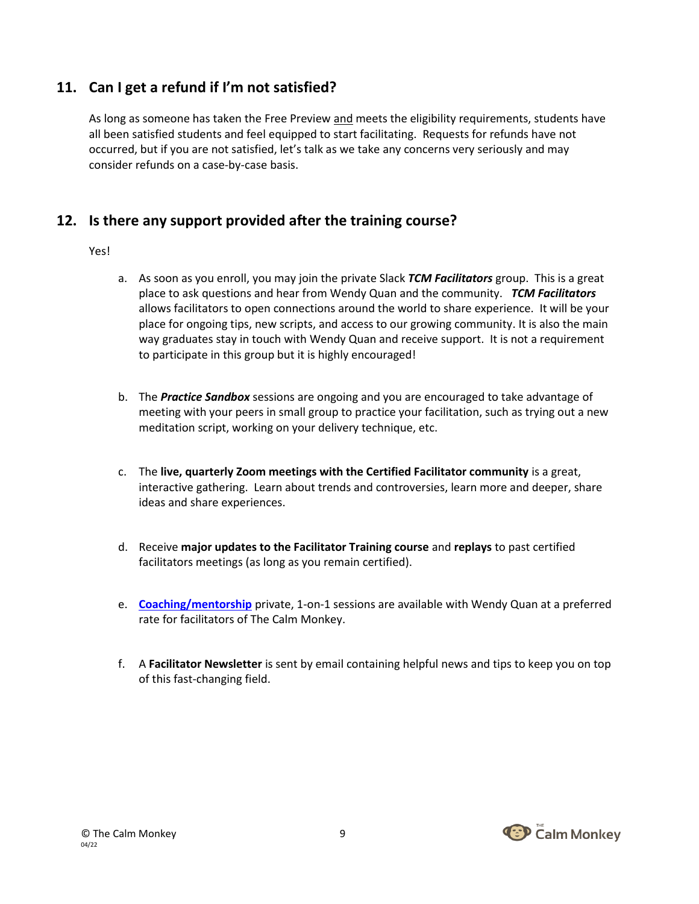## **11. Can I get a refund if I'm not satisfied?**

As long as someone has taken the Free Preview and meets the eligibility requirements, students have all been satisfied students and feel equipped to start facilitating. Requests for refunds have not occurred, but if you are not satisfied, let's talk as we take any concerns very seriously and may consider refunds on a case-by-case basis.

#### **12. Is there any support provided after the training course?**

#### Yes!

- a. As soon as you enroll, you may join the private Slack *TCM Facilitators* group. This is a great place to ask questions and hear from Wendy Quan and the community. *TCM Facilitators* allows facilitators to open connections around the world to share experience. It will be your place for ongoing tips, new scripts, and access to our growing community. It is also the main way graduates stay in touch with Wendy Quan and receive support. It is not a requirement to participate in this group but it is highly encouraged!
- b. The *Practice Sandbox* sessions are ongoing and you are encouraged to take advantage of meeting with your peers in small group to practice your facilitation, such as trying out a new meditation script, working on your delivery technique, etc.
- c. The **live, quarterly Zoom meetings with the Certified Facilitator community** is a great, interactive gathering. Learn about trends and controversies, learn more and deeper, share ideas and share experiences.
- d. Receive **major updates to the Facilitator Training course** and **replays** to past certified facilitators meetings (as long as you remain certified).
- e. **[Coaching/mentorship](https://www.thecalmmonkey.com/mindfulness-implementation-coaching)** private, 1-on-1 sessions are available with Wendy Quan at a preferred rate for facilitators of The Calm Monkey.
- f. A **Facilitator Newsletter** is sent by email containing helpful news and tips to keep you on top of this fast-changing field.

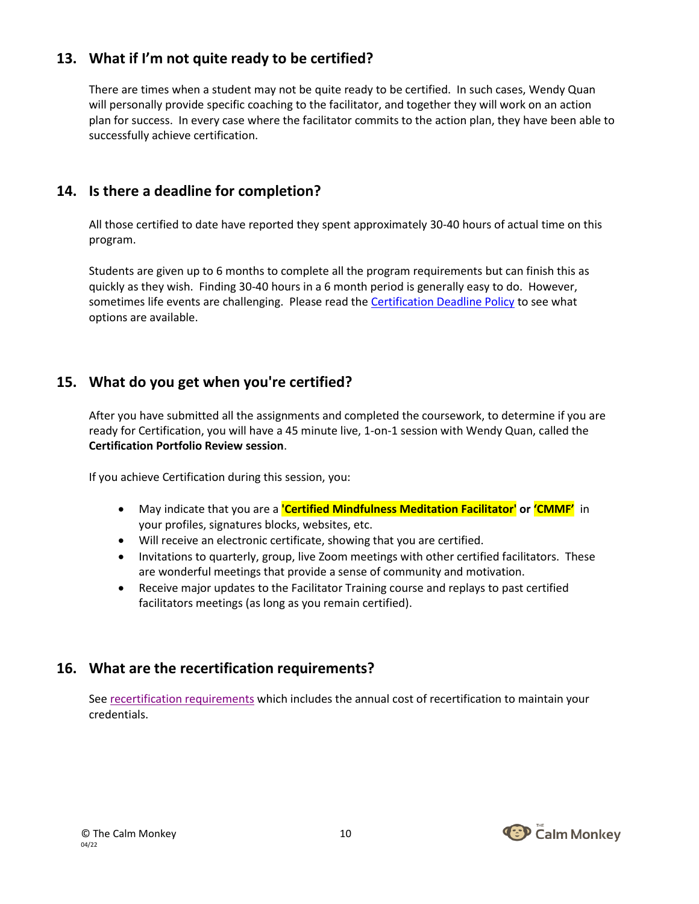# **13. What if I'm not quite ready to be certified?**

There are times when a student may not be quite ready to be certified. In such cases, Wendy Quan will personally provide specific coaching to the facilitator, and together they will work on an action plan for success. In every case where the facilitator commits to the action plan, they have been able to successfully achieve certification.

### **14. Is there a deadline for completion?**

All those certified to date have reported they spent approximately 30-40 hours of actual time on this program.

Students are given up to 6 months to complete all the program requirements but can finish this as quickly as they wish. Finding 30-40 hours in a 6 month period is generally easy to do. However, sometimes life events are challenging. Please read the [Certification Deadline Policy](https://drive.google.com/file/d/1Ib7FuAxpyCxH0aNeHt7k1vzmecMi0UwM/view) to see what options are available.

## **15. What do you get when you're certified?**

After you have submitted all the assignments and completed the coursework, to determine if you are ready for Certification, you will have a 45 minute live, 1-on-1 session with Wendy Quan, called the **Certification Portfolio Review session**.

If you achieve Certification during this session, you:

- May indicate that you are a **'Certified Mindfulness Meditation Facilitator' or 'CMMF'** in your profiles, signatures blocks, websites, etc.
- Will receive an electronic certificate, showing that you are certified.
- Invitations to quarterly, group, live Zoom meetings with other certified facilitators. These are wonderful meetings that provide a sense of community and motivation.
- Receive major updates to the Facilitator Training course and replays to past certified facilitators meetings (as long as you remain certified).

## **16. What are the recertification requirements?**

See [recertification requirements](https://drive.google.com/file/d/1ndu80_TIlZTWaRxxaSEma9idWsrAyXal/view) which includes the annual cost of recertification to maintain your credentials.

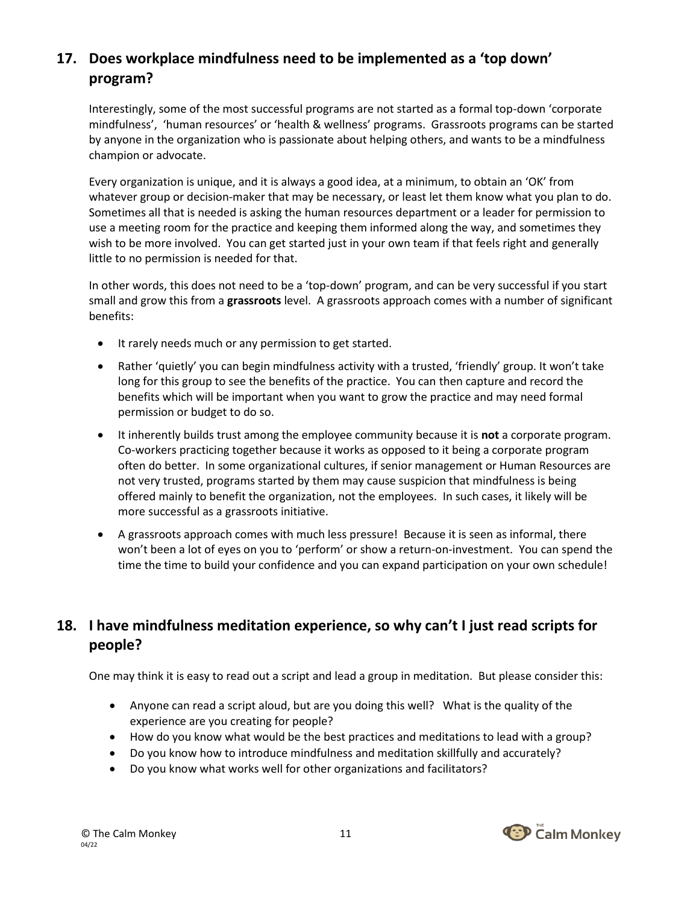# **17. Does workplace mindfulness need to be implemented as a 'top down' program?**

Interestingly, some of the most successful programs are not started as a formal top-down 'corporate mindfulness', 'human resources' or 'health & wellness' programs. Grassroots programs can be started by anyone in the organization who is passionate about helping others, and wants to be a mindfulness champion or advocate.

Every organization is unique, and it is always a good idea, at a minimum, to obtain an 'OK' from whatever group or decision-maker that may be necessary, or least let them know what you plan to do. Sometimes all that is needed is asking the human resources department or a leader for permission to use a meeting room for the practice and keeping them informed along the way, and sometimes they wish to be more involved. You can get started just in your own team if that feels right and generally little to no permission is needed for that.

In other words, this does not need to be a 'top-down' program, and can be very successful if you start small and grow this from a **grassroots** level. A grassroots approach comes with a number of significant benefits:

- It rarely needs much or any permission to get started.
- Rather 'quietly' you can begin mindfulness activity with a trusted, 'friendly' group. It won't take long for this group to see the benefits of the practice. You can then capture and record the benefits which will be important when you want to grow the practice and may need formal permission or budget to do so.
- It inherently builds trust among the employee community because it is **not** a corporate program. Co-workers practicing together because it works as opposed to it being a corporate program often do better. In some organizational cultures, if senior management or Human Resources are not very trusted, programs started by them may cause suspicion that mindfulness is being offered mainly to benefit the organization, not the employees. In such cases, it likely will be more successful as a grassroots initiative.
- A grassroots approach comes with much less pressure! Because it is seen as informal, there won't been a lot of eyes on you to 'perform' or show a return-on-investment. You can spend the time the time to build your confidence and you can expand participation on your own schedule!

# **18. I have mindfulness meditation experience, so why can't I just read scripts for people?**

One may think it is easy to read out a script and lead a group in meditation. But please consider this:

- Anyone can read a script aloud, but are you doing this well? What is the quality of the experience are you creating for people?
- How do you know what would be the best practices and meditations to lead with a group?
- Do you know how to introduce mindfulness and meditation skillfully and accurately?
- Do you know what works well for other organizations and facilitators?

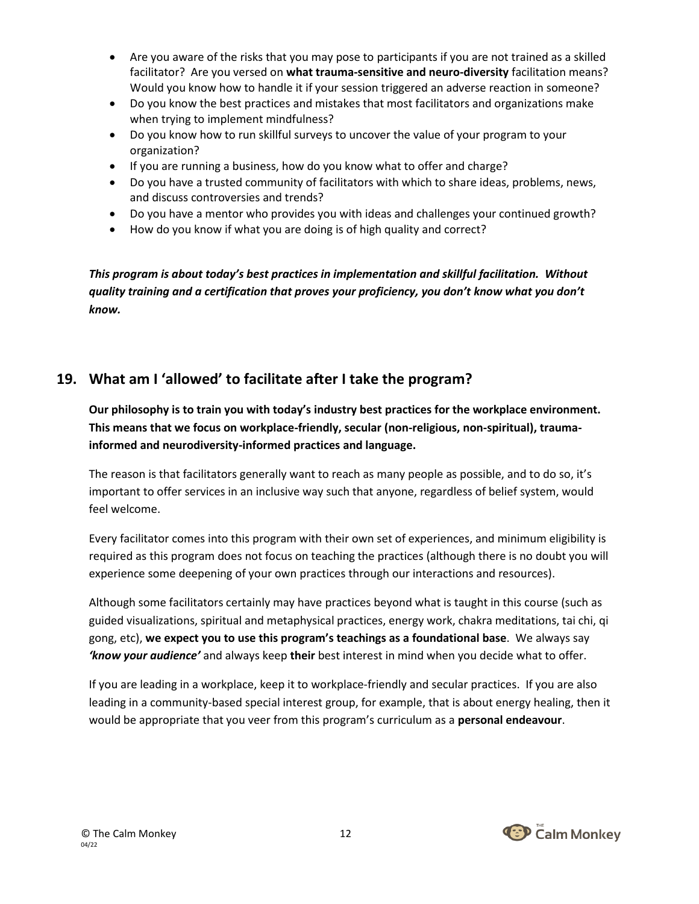- Are you aware of the risks that you may pose to participants if you are not trained as a skilled facilitator? Are you versed on **what trauma-sensitive and neuro-diversity** facilitation means? Would you know how to handle it if your session triggered an adverse reaction in someone?
- Do you know the best practices and mistakes that most facilitators and organizations make when trying to implement mindfulness?
- Do you know how to run skillful surveys to uncover the value of your program to your organization?
- If you are running a business, how do you know what to offer and charge?
- Do you have a trusted community of facilitators with which to share ideas, problems, news, and discuss controversies and trends?
- Do you have a mentor who provides you with ideas and challenges your continued growth?
- How do you know if what you are doing is of high quality and correct?

*This program is about today's best practices in implementation and skillful facilitation. Without quality training and a certification that proves your proficiency, you don't know what you don't know.*

# **19. What am I 'allowed' to facilitate after I take the program?**

**Our philosophy is to train you with today's industry best practices for the workplace environment. This means that we focus on workplace-friendly, secular (non-religious, non-spiritual), traumainformed and neurodiversity-informed practices and language.**

The reason is that facilitators generally want to reach as many people as possible, and to do so, it's important to offer services in an inclusive way such that anyone, regardless of belief system, would feel welcome.

Every facilitator comes into this program with their own set of experiences, and minimum eligibility is required as this program does not focus on teaching the practices (although there is no doubt you will experience some deepening of your own practices through our interactions and resources).

Although some facilitators certainly may have practices beyond what is taught in this course (such as guided visualizations, spiritual and metaphysical practices, energy work, chakra meditations, tai chi, qi gong, etc), **we expect you to use this program's teachings as a foundational base**. We always say *'know your audience'* and always keep **their** best interest in mind when you decide what to offer.

If you are leading in a workplace, keep it to workplace-friendly and secular practices. If you are also leading in a community-based special interest group, for example, that is about energy healing, then it would be appropriate that you veer from this program's curriculum as a **personal endeavour**.